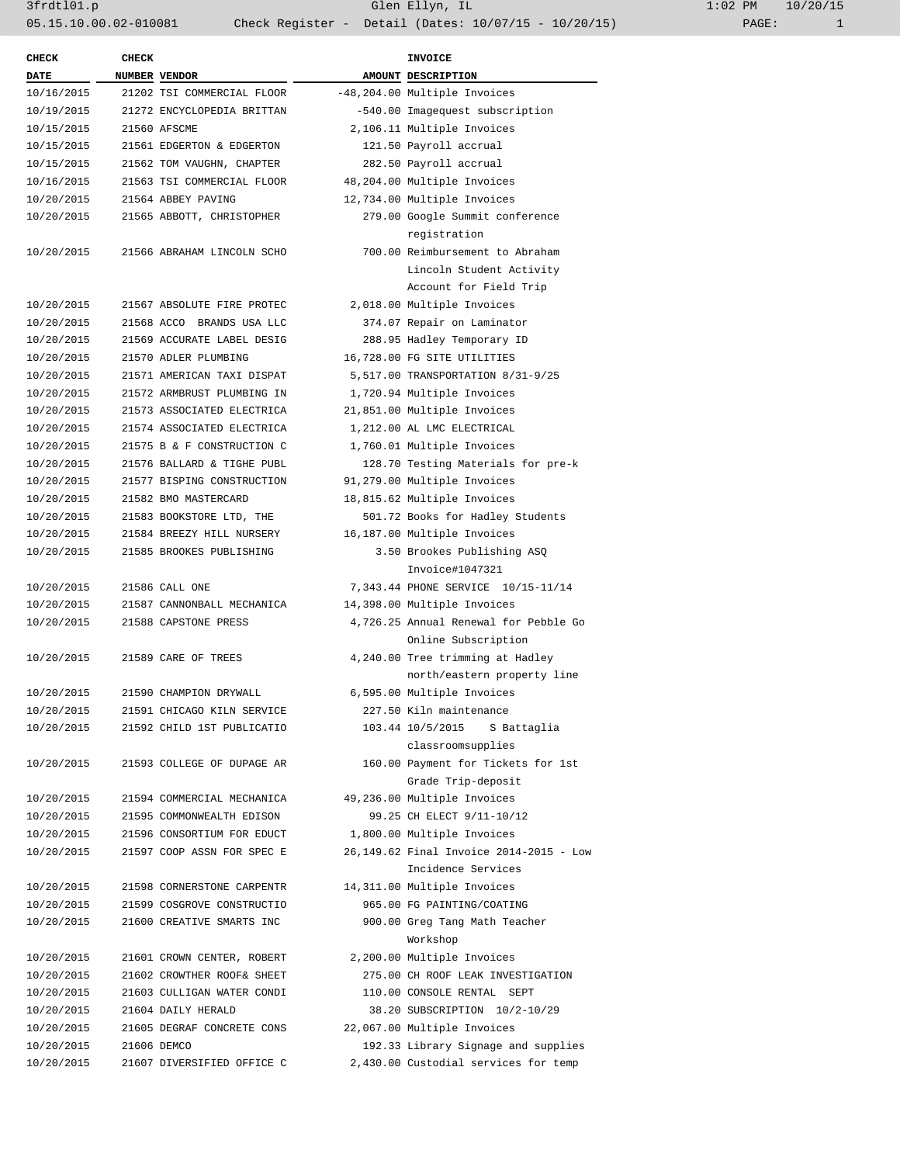| <b>CHECK</b> | <b>CHECK</b>  |                            |                                 | <b>INVOICE</b>                          |
|--------------|---------------|----------------------------|---------------------------------|-----------------------------------------|
| DATE         | NUMBER VENDOR |                            |                                 | AMOUNT DESCRIPTION                      |
| 10/16/2015   |               | 21202 TSI COMMERCIAL FLOOR |                                 | -48,204.00 Multiple Invoices            |
| 10/19/2015   |               | 21272 ENCYCLOPEDIA BRITTAN | -540.00 Imagequest subscription |                                         |
| 10/15/2015   |               | 21560 AFSCME               |                                 | 2,106.11 Multiple Invoices              |
| 10/15/2015   |               | 21561 EDGERTON & EDGERTON  |                                 | 121.50 Payroll accrual                  |
| 10/15/2015   |               | 21562 TOM VAUGHN, CHAPTER  |                                 | 282.50 Payroll accrual                  |
| 10/16/2015   |               | 21563 TSI COMMERCIAL FLOOR |                                 | 48,204.00 Multiple Invoices             |
| 10/20/2015   |               | 21564 ABBEY PAVING         |                                 | 12,734.00 Multiple Invoices             |
| 10/20/2015   |               | 21565 ABBOTT, CHRISTOPHER  |                                 | 279.00 Google Summit conference         |
|              |               |                            |                                 | registration                            |
| 10/20/2015   |               | 21566 ABRAHAM LINCOLN SCHO |                                 | 700.00 Reimbursement to Abraham         |
|              |               |                            |                                 | Lincoln Student Activity                |
|              |               |                            |                                 | Account for Field Trip                  |
| 10/20/2015   |               | 21567 ABSOLUTE FIRE PROTEC |                                 | 2,018.00 Multiple Invoices              |
| 10/20/2015   |               | 21568 ACCO BRANDS USA LLC  |                                 | 374.07 Repair on Laminator              |
| 10/20/2015   |               | 21569 ACCURATE LABEL DESIG |                                 | 288.95 Hadley Temporary ID              |
| 10/20/2015   |               | 21570 ADLER PLUMBING       |                                 | 16,728.00 FG SITE UTILITIES             |
|              |               |                            |                                 |                                         |
| 10/20/2015   |               | 21571 AMERICAN TAXI DISPAT |                                 | 5,517.00 TRANSPORTATION 8/31-9/25       |
| 10/20/2015   |               | 21572 ARMBRUST PLUMBING IN |                                 | 1,720.94 Multiple Invoices              |
| 10/20/2015   |               | 21573 ASSOCIATED ELECTRICA |                                 | 21,851.00 Multiple Invoices             |
| 10/20/2015   |               | 21574 ASSOCIATED ELECTRICA |                                 | 1,212.00 AL LMC ELECTRICAL              |
| 10/20/2015   |               | 21575 B & F CONSTRUCTION C |                                 | 1,760.01 Multiple Invoices              |
| 10/20/2015   |               | 21576 BALLARD & TIGHE PUBL |                                 | 128.70 Testing Materials for pre-k      |
| 10/20/2015   |               | 21577 BISPING CONSTRUCTION |                                 | 91,279.00 Multiple Invoices             |
| 10/20/2015   |               | 21582 BMO MASTERCARD       |                                 | 18,815.62 Multiple Invoices             |
| 10/20/2015   |               | 21583 BOOKSTORE LTD, THE   |                                 | 501.72 Books for Hadley Students        |
| 10/20/2015   |               | 21584 BREEZY HILL NURSERY  |                                 | 16,187.00 Multiple Invoices             |
| 10/20/2015   |               | 21585 BROOKES PUBLISHING   |                                 | 3.50 Brookes Publishing ASQ             |
|              |               |                            |                                 | Invoice#1047321                         |
| 10/20/2015   |               | 21586 CALL ONE             |                                 | 7,343.44 PHONE SERVICE 10/15-11/14      |
| 10/20/2015   |               | 21587 CANNONBALL MECHANICA |                                 | 14,398.00 Multiple Invoices             |
| 10/20/2015   |               | 21588 CAPSTONE PRESS       |                                 | 4,726.25 Annual Renewal for Pebble Go   |
|              |               |                            |                                 | Online Subscription                     |
| 10/20/2015   |               | 21589 CARE OF TREES        |                                 | 4,240.00 Tree trimming at Hadley        |
|              |               |                            |                                 | north/eastern property line             |
| 10/20/2015   |               | 21590 CHAMPION DRYWALL     |                                 | 6,595.00 Multiple Invoices              |
| 10/20/2015   |               | 21591 CHICAGO KILN SERVICE |                                 | 227.50 Kiln maintenance                 |
| 10/20/2015   |               | 21592 CHILD 1ST PUBLICATIO |                                 | 103.44 10/5/2015<br>S Battaglia         |
|              |               |                            |                                 | classroomsupplies                       |
| 10/20/2015   |               | 21593 COLLEGE OF DUPAGE AR |                                 | 160.00 Payment for Tickets for 1st      |
|              |               |                            |                                 | Grade Trip-deposit                      |
| 10/20/2015   |               | 21594 COMMERCIAL MECHANICA |                                 | 49,236.00 Multiple Invoices             |
| 10/20/2015   |               | 21595 COMMONWEALTH EDISON  |                                 | 99.25 CH ELECT 9/11-10/12               |
| 10/20/2015   |               | 21596 CONSORTIUM FOR EDUCT |                                 | 1,800.00 Multiple Invoices              |
| 10/20/2015   |               | 21597 COOP ASSN FOR SPEC E |                                 | 26,149.62 Final Invoice 2014-2015 - Low |
|              |               |                            |                                 | Incidence Services                      |
| 10/20/2015   |               | 21598 CORNERSTONE CARPENTR |                                 | 14,311.00 Multiple Invoices             |
| 10/20/2015   |               | 21599 COSGROVE CONSTRUCTIO |                                 | 965.00 FG PAINTING/COATING              |
| 10/20/2015   |               | 21600 CREATIVE SMARTS INC  |                                 | 900.00 Greg Tang Math Teacher           |
|              |               |                            |                                 | Workshop                                |
| 10/20/2015   |               | 21601 CROWN CENTER, ROBERT |                                 | 2,200.00 Multiple Invoices              |
| 10/20/2015   |               | 21602 CROWTHER ROOF& SHEET |                                 | 275.00 CH ROOF LEAK INVESTIGATION       |
| 10/20/2015   |               | 21603 CULLIGAN WATER CONDI |                                 | 110.00 CONSOLE RENTAL SEPT              |
| 10/20/2015   |               | 21604 DAILY HERALD         |                                 | 38.20 SUBSCRIPTION 10/2-10/29           |
| 10/20/2015   |               | 21605 DEGRAF CONCRETE CONS |                                 | 22,067.00 Multiple Invoices             |
| 10/20/2015   |               | 21606 DEMCO                |                                 | 192.33 Library Signage and supplies     |
| 10/20/2015   |               | 21607 DIVERSIFIED OFFICE C |                                 | 2,430.00 Custodial services for temp    |
|              |               |                            |                                 |                                         |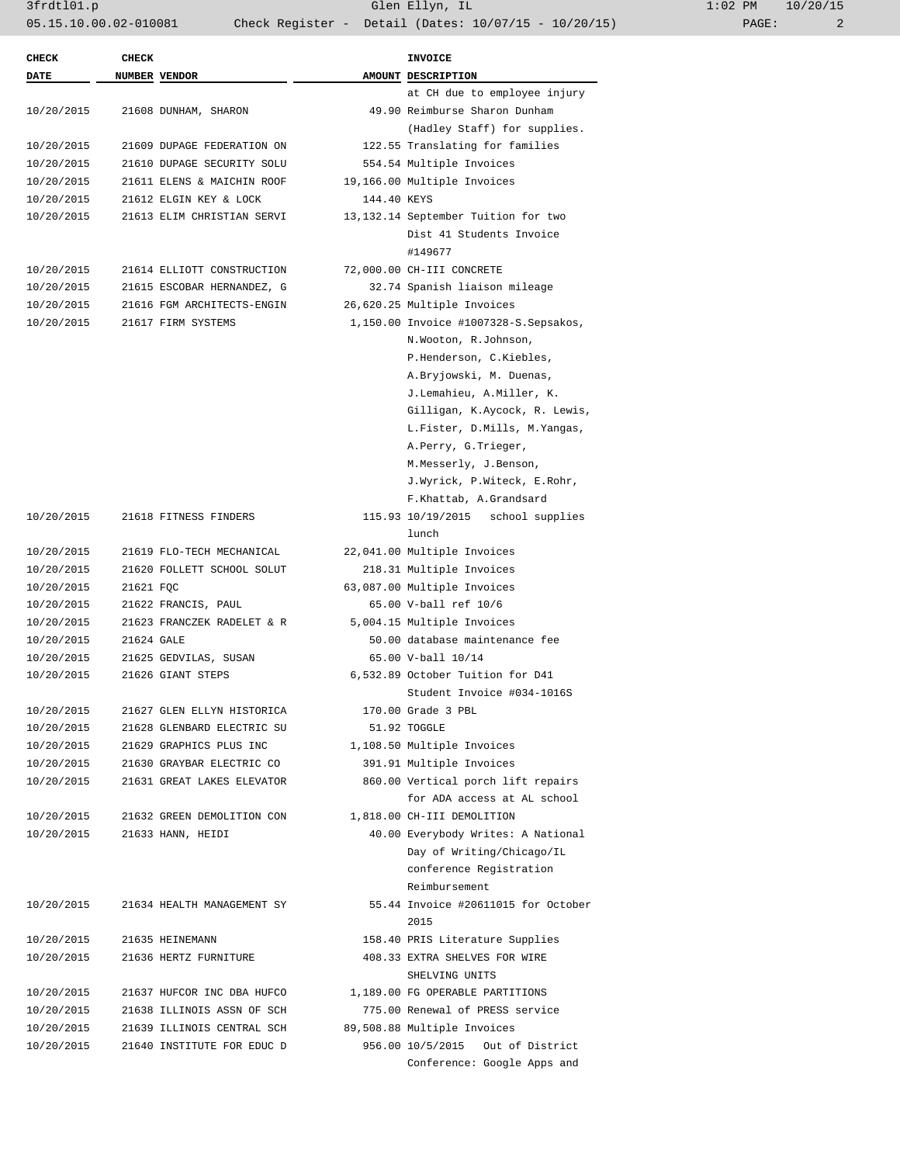3frdtl01.p Glen Ellyn, IL 1:02 PM 10/20/15 05.15.10.00.02-010081 Check Register - Detail (Dates: 10/07/15 - 10/20/15) PAGE: 2

| <b>CHECK</b> | <b>CHECK</b> |                            |             | <b>INVOICE</b>                        |
|--------------|--------------|----------------------------|-------------|---------------------------------------|
| <b>DATE</b>  |              | NUMBER VENDOR              |             | AMOUNT DESCRIPTION                    |
|              |              |                            |             | at CH due to employee injury          |
| 10/20/2015   |              | 21608 DUNHAM, SHARON       |             | 49.90 Reimburse Sharon Dunham         |
|              |              |                            |             | (Hadley Staff) for supplies.          |
| 10/20/2015   |              | 21609 DUPAGE FEDERATION ON |             | 122.55 Translating for families       |
| 10/20/2015   |              | 21610 DUPAGE SECURITY SOLU |             | 554.54 Multiple Invoices              |
| 10/20/2015   |              | 21611 ELENS & MAICHIN ROOF |             | 19,166.00 Multiple Invoices           |
| 10/20/2015   |              | 21612 ELGIN KEY & LOCK     | 144.40 KEYS |                                       |
| 10/20/2015   |              | 21613 ELIM CHRISTIAN SERVI |             | 13,132.14 September Tuition for two   |
|              |              |                            |             | Dist 41 Students Invoice              |
|              |              |                            |             | #149677                               |
| 10/20/2015   |              | 21614 ELLIOTT CONSTRUCTION |             | 72,000.00 CH-III CONCRETE             |
| 10/20/2015   |              | 21615 ESCOBAR HERNANDEZ, G |             | 32.74 Spanish liaison mileage         |
| 10/20/2015   |              | 21616 FGM ARCHITECTS-ENGIN |             | 26,620.25 Multiple Invoices           |
| 10/20/2015   |              | 21617 FIRM SYSTEMS         |             | 1,150.00 Invoice #1007328-S.Sepsakos, |
|              |              |                            |             | N.Wooton, R.Johnson,                  |
|              |              |                            |             | P.Henderson, C.Kiebles,               |
|              |              |                            |             | A.Bryjowski, M. Duenas,               |
|              |              |                            |             | J.Lemahieu, A.Miller, K.              |
|              |              |                            |             | Gilligan, K.Aycock, R. Lewis,         |
|              |              |                            |             | L.Fister, D.Mills, M.Yangas,          |
|              |              |                            |             | A.Perry, G.Trieger,                   |
|              |              |                            |             | M.Messerly, J.Benson,                 |
|              |              |                            |             | J.Wyrick, P.Witeck, E.Rohr,           |
|              |              |                            |             | F.Khattab, A.Grandsard                |
| 10/20/2015   |              | 21618 FITNESS FINDERS      |             | 115.93 10/19/2015 school supplies     |
|              |              |                            |             | lunch                                 |
| 10/20/2015   |              | 21619 FLO-TECH MECHANICAL  |             |                                       |
|              |              |                            |             | 22,041.00 Multiple Invoices           |
| 10/20/2015   |              | 21620 FOLLETT SCHOOL SOLUT |             | 218.31 Multiple Invoices              |
| 10/20/2015   | 21621 FQC    |                            |             | 63,087.00 Multiple Invoices           |
| 10/20/2015   |              | 21622 FRANCIS, PAUL        |             | 65.00 V-ball ref 10/6                 |
| 10/20/2015   |              | 21623 FRANCZEK RADELET & R |             | 5,004.15 Multiple Invoices            |
| 10/20/2015   | 21624 GALE   |                            |             | 50.00 database maintenance fee        |
| 10/20/2015   |              | 21625 GEDVILAS, SUSAN      |             | 65.00 V-ball 10/14                    |
| 10/20/2015   |              | 21626 GIANT STEPS          |             | 6,532.89 October Tuition for D41      |
|              |              |                            |             | Student Invoice #034-1016S            |
| 10/20/2015   |              | 21627 GLEN ELLYN HISTORICA |             | 170.00 Grade 3 PBL                    |
| 10/20/2015   |              | 21628 GLENBARD ELECTRIC SU |             | 51.92 TOGGLE                          |
| 10/20/2015   |              | 21629 GRAPHICS PLUS INC    |             | 1,108.50 Multiple Invoices            |
| 10/20/2015   |              | 21630 GRAYBAR ELECTRIC CO  |             | 391.91 Multiple Invoices              |
| 10/20/2015   |              | 21631 GREAT LAKES ELEVATOR |             | 860.00 Vertical porch lift repairs    |
|              |              |                            |             | for ADA access at AL school           |
| 10/20/2015   |              | 21632 GREEN DEMOLITION CON |             | 1,818.00 CH-III DEMOLITION            |
| 10/20/2015   |              | 21633 HANN, HEIDI          |             | 40.00 Everybody Writes: A National    |
|              |              |                            |             | Day of Writing/Chicago/IL             |
|              |              |                            |             | conference Registration               |
|              |              |                            |             | Reimbursement                         |
| 10/20/2015   |              | 21634 HEALTH MANAGEMENT SY |             | 55.44 Invoice #20611015 for October   |
|              |              |                            |             | 2015                                  |
| 10/20/2015   |              | 21635 HEINEMANN            |             | 158.40 PRIS Literature Supplies       |
|              |              | 21636 HERTZ FURNITURE      |             | 408.33 EXTRA SHELVES FOR WIRE         |
| 10/20/2015   |              |                            |             |                                       |
|              |              |                            |             | SHELVING UNITS                        |
| 10/20/2015   |              | 21637 HUFCOR INC DBA HUFCO |             | 1,189.00 FG OPERABLE PARTITIONS       |
| 10/20/2015   |              | 21638 ILLINOIS ASSN OF SCH |             | 775.00 Renewal of PRESS service       |
| 10/20/2015   |              | 21639 ILLINOIS CENTRAL SCH |             | 89,508.88 Multiple Invoices           |
| 10/20/2015   |              | 21640 INSTITUTE FOR EDUC D |             | 956.00 10/5/2015<br>Out of District   |
|              |              |                            |             | Conference: Google Apps and           |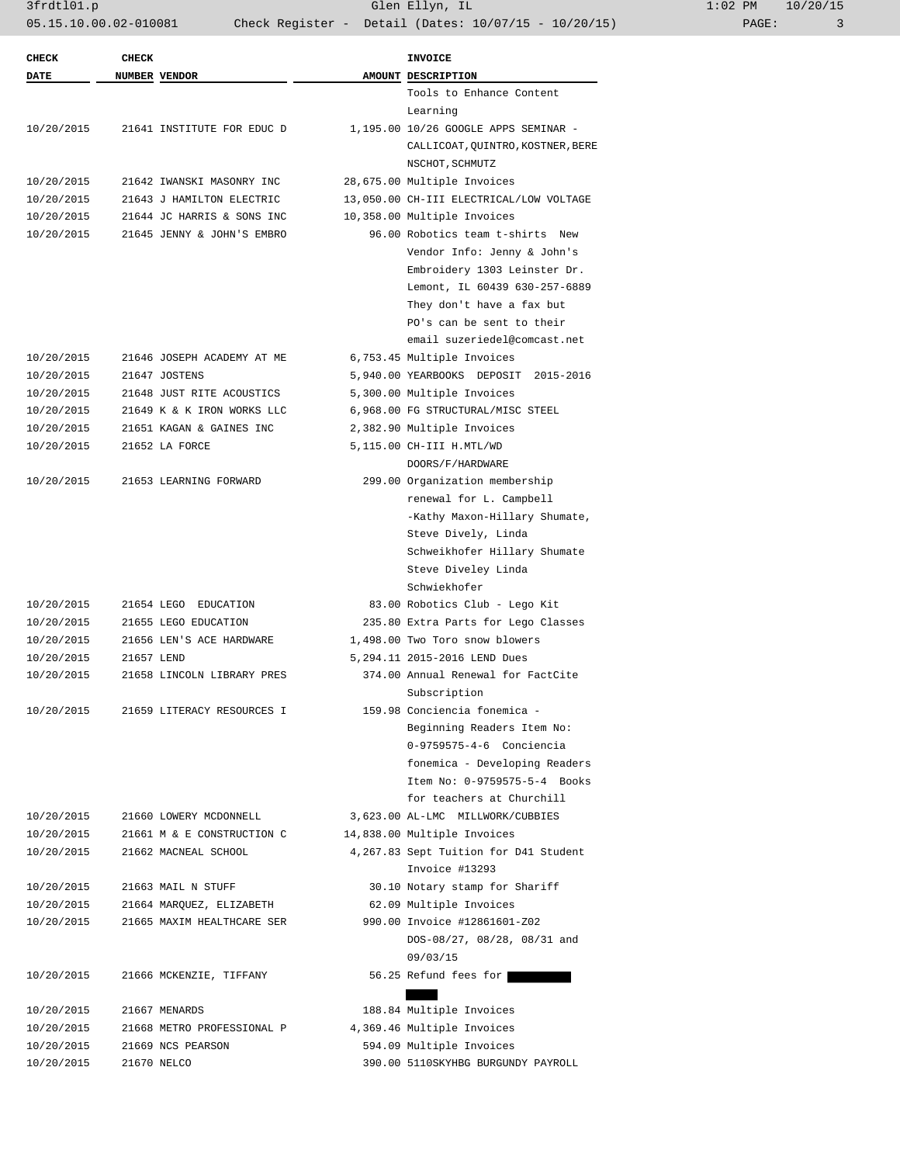3frdtl01.p Glen Ellyn, IL 1:02 PM 10/20/15 05.15.10.00.02-010081 Check Register - Detail (Dates: 10/07/15 - 10/20/15)

| <b>CHECK</b> | <b>CHECK</b> |                            | INVOICE                                 |
|--------------|--------------|----------------------------|-----------------------------------------|
| <b>DATE</b>  |              | NUMBER VENDOR              | AMOUNT DESCRIPTION                      |
|              |              |                            | Tools to Enhance Content                |
|              |              |                            | Learning                                |
| 10/20/2015   |              | 21641 INSTITUTE FOR EDUC D | 1,195.00 10/26 GOOGLE APPS SEMINAR -    |
|              |              |                            | CALLICOAT, QUINTRO, KOSTNER, BERE       |
|              |              |                            | NSCHOT, SCHMUTZ                         |
| 10/20/2015   |              | 21642 IWANSKI MASONRY INC  | 28,675.00 Multiple Invoices             |
| 10/20/2015   |              | 21643 J HAMILTON ELECTRIC  | 13,050.00 CH-III ELECTRICAL/LOW VOLTAGE |
| 10/20/2015   |              | 21644 JC HARRIS & SONS INC | 10,358.00 Multiple Invoices             |
| 10/20/2015   |              | 21645 JENNY & JOHN'S EMBRO | 96.00 Robotics team t-shirts New        |
|              |              |                            | Vendor Info: Jenny & John's             |
|              |              |                            | Embroidery 1303 Leinster Dr.            |
|              |              |                            | Lemont, IL 60439 630-257-6889           |
|              |              |                            | They don't have a fax but               |
|              |              |                            | PO's can be sent to their               |
|              |              |                            | email suzeriedel@comcast.net            |
| 10/20/2015   |              | 21646 JOSEPH ACADEMY AT ME | 6,753.45 Multiple Invoices              |
| 10/20/2015   |              | 21647 JOSTENS              | 5,940.00 YEARBOOKS DEPOSIT 2015-2016    |
| 10/20/2015   |              | 21648 JUST RITE ACOUSTICS  | 5,300.00 Multiple Invoices              |
| 10/20/2015   |              | 21649 K & K IRON WORKS LLC | 6,968.00 FG STRUCTURAL/MISC STEEL       |
| 10/20/2015   |              | 21651 KAGAN & GAINES INC   | 2,382.90 Multiple Invoices              |
| 10/20/2015   |              | 21652 LA FORCE             | 5,115.00 CH-III H.MTL/WD                |
|              |              |                            | DOORS/F/HARDWARE                        |
| 10/20/2015   |              | 21653 LEARNING FORWARD     | 299.00 Organization membership          |
|              |              |                            | renewal for L. Campbell                 |
|              |              |                            | -Kathy Maxon-Hillary Shumate,           |
|              |              |                            | Steve Dively, Linda                     |
|              |              |                            | Schweikhofer Hillary Shumate            |
|              |              |                            | Steve Diveley Linda                     |
|              |              |                            | Schwiekhofer                            |
| 10/20/2015   |              | 21654 LEGO EDUCATION       | 83.00 Robotics Club - Lego Kit          |
| 10/20/2015   |              | 21655 LEGO EDUCATION       | 235.80 Extra Parts for Lego Classes     |
| 10/20/2015   |              | 21656 LEN'S ACE HARDWARE   | 1,498.00 Two Toro snow blowers          |
| 10/20/2015   | 21657 LEND   |                            | 5, 294.11 2015-2016 LEND Dues           |
| 10/20/2015   |              | 21658 LINCOLN LIBRARY PRES | 374.00 Annual Renewal for FactCite      |
|              |              |                            |                                         |
|              |              |                            | Subscription                            |
| 10/20/2015   |              | 21659 LITERACY RESOURCES I | 159.98 Conciencia fonemica -            |
|              |              |                            | Beginning Readers Item No:              |
|              |              |                            | 0-9759575-4-6 Conciencia                |
|              |              |                            | fonemica - Developing Readers           |
|              |              |                            | Item No: 0-9759575-5-4 Books            |
|              |              |                            | for teachers at Churchill               |
| 10/20/2015   |              | 21660 LOWERY MCDONNELL     | 3,623.00 AL-LMC MILLWORK/CUBBIES        |
| 10/20/2015   |              | 21661 M & E CONSTRUCTION C | 14,838.00 Multiple Invoices             |
| 10/20/2015   |              | 21662 MACNEAL SCHOOL       | 4,267.83 Sept Tuition for D41 Student   |
|              |              |                            | Invoice #13293                          |
| 10/20/2015   |              | 21663 MAIL N STUFF         | 30.10 Notary stamp for Shariff          |
| 10/20/2015   |              | 21664 MARQUEZ, ELIZABETH   | 62.09 Multiple Invoices                 |
| 10/20/2015   |              | 21665 MAXIM HEALTHCARE SER | 990.00 Invoice #12861601-Z02            |
|              |              |                            | DOS-08/27, 08/28, 08/31 and             |
|              |              |                            | 09/03/15                                |
| 10/20/2015   |              | 21666 MCKENZIE, TIFFANY    | 56.25 Refund fees for                   |
|              |              |                            |                                         |
| 10/20/2015   |              | 21667 MENARDS              | 188.84 Multiple Invoices                |
| 10/20/2015   |              | 21668 METRO PROFESSIONAL P | 4,369.46 Multiple Invoices              |
| 10/20/2015   |              | 21669 NCS PEARSON          | 594.09 Multiple Invoices                |
| 10/20/2015   |              | 21670 NELCO                | 390.00 5110SKYHBG BURGUNDY PAYROLL      |
|              |              |                            |                                         |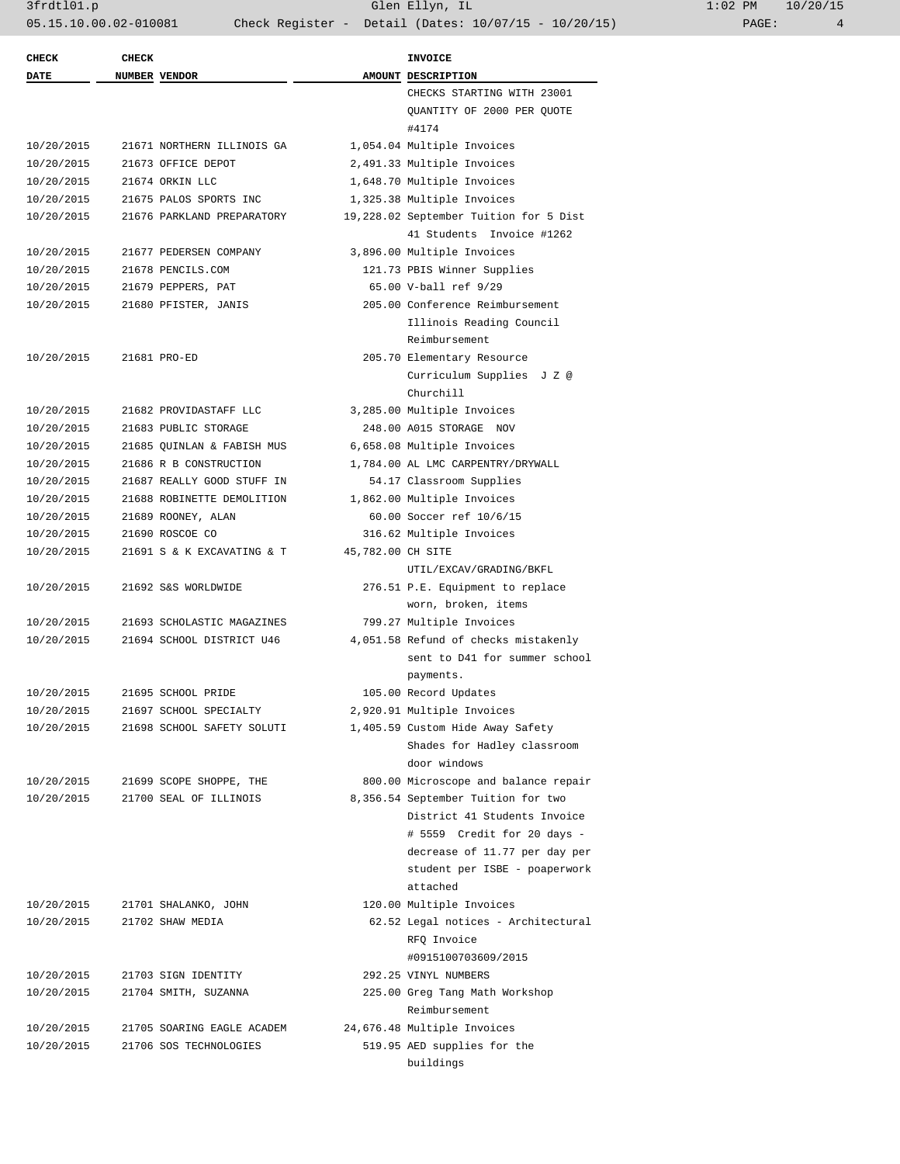| 1:02 PM |       | 10/20/15 |
|---------|-------|----------|
|         | PAGE: |          |

| <b>CHECK</b> | <b>CHECK</b> |                            |                   | <b>INVOICE</b>                                                      |
|--------------|--------------|----------------------------|-------------------|---------------------------------------------------------------------|
| <b>DATE</b>  |              | NUMBER VENDOR              |                   | AMOUNT DESCRIPTION                                                  |
|              |              |                            |                   | CHECKS STARTING WITH 23001                                          |
|              |              |                            |                   | QUANTITY OF 2000 PER QUOTE<br>#4174                                 |
| 10/20/2015   |              | 21671 NORTHERN ILLINOIS GA |                   | 1,054.04 Multiple Invoices                                          |
| 10/20/2015   |              | 21673 OFFICE DEPOT         |                   | 2,491.33 Multiple Invoices                                          |
| 10/20/2015   |              | 21674 ORKIN LLC            |                   | 1,648.70 Multiple Invoices                                          |
| 10/20/2015   |              | 21675 PALOS SPORTS INC     |                   | 1,325.38 Multiple Invoices                                          |
| 10/20/2015   |              | 21676 PARKLAND PREPARATORY |                   | 19,228.02 September Tuition for 5 Dist<br>41 Students Invoice #1262 |
| 10/20/2015   |              | 21677 PEDERSEN COMPANY     |                   | 3,896.00 Multiple Invoices                                          |
| 10/20/2015   |              | 21678 PENCILS.COM          |                   | 121.73 PBIS Winner Supplies                                         |
| 10/20/2015   |              | 21679 PEPPERS, PAT         |                   | 65.00 V-ball ref 9/29                                               |
| 10/20/2015   |              | 21680 PFISTER, JANIS       |                   | 205.00 Conference Reimbursement                                     |
|              |              |                            |                   | Illinois Reading Council<br>Reimbursement                           |
| 10/20/2015   |              | 21681 PRO-ED               |                   | 205.70 Elementary Resource                                          |
|              |              |                            |                   | Curriculum Supplies J Z @                                           |
|              |              |                            |                   | Churchill                                                           |
| 10/20/2015   |              | 21682 PROVIDASTAFF LLC     |                   | 3,285.00 Multiple Invoices                                          |
| 10/20/2015   |              | 21683 PUBLIC STORAGE       |                   | 248.00 A015 STORAGE NOV                                             |
| 10/20/2015   |              | 21685 OUINLAN & FABISH MUS |                   | 6,658.08 Multiple Invoices                                          |
| 10/20/2015   |              | 21686 R B CONSTRUCTION     |                   | 1,784.00 AL LMC CARPENTRY/DRYWALL                                   |
| 10/20/2015   |              | 21687 REALLY GOOD STUFF IN |                   | 54.17 Classroom Supplies                                            |
| 10/20/2015   |              | 21688 ROBINETTE DEMOLITION |                   | 1,862.00 Multiple Invoices                                          |
| 10/20/2015   |              | 21689 ROONEY, ALAN         |                   | 60.00 Soccer ref 10/6/15                                            |
| 10/20/2015   |              | 21690 ROSCOE CO            |                   | 316.62 Multiple Invoices                                            |
| 10/20/2015   |              | 21691 S & K EXCAVATING & T | 45,782.00 CH SITE |                                                                     |
|              |              |                            |                   | UTIL/EXCAV/GRADING/BKFL                                             |
| 10/20/2015   |              | 21692 S&S WORLDWIDE        |                   | 276.51 P.E. Equipment to replace                                    |
|              |              |                            |                   | worn, broken, items                                                 |
| 10/20/2015   |              | 21693 SCHOLASTIC MAGAZINES |                   | 799.27 Multiple Invoices                                            |
| 10/20/2015   |              | 21694 SCHOOL DISTRICT U46  |                   | 4,051.58 Refund of checks mistakenly                                |
|              |              |                            |                   | sent to D41 for summer school<br>payments.                          |
| 10/20/2015   |              | 21695 SCHOOL PRIDE         |                   | 105.00 Record Updates                                               |
| 10/20/2015   |              | 21697 SCHOOL SPECIALTY     |                   | 2,920.91 Multiple Invoices                                          |
| 10/20/2015   |              | 21698 SCHOOL SAFETY SOLUTI |                   | 1,405.59 Custom Hide Away Safety                                    |
|              |              |                            |                   | Shades for Hadley classroom                                         |
|              |              |                            |                   | door windows                                                        |
| 10/20/2015   |              | 21699 SCOPE SHOPPE, THE    |                   | 800.00 Microscope and balance repair                                |
| 10/20/2015   |              | 21700 SEAL OF ILLINOIS     |                   | 8,356.54 September Tuition for two                                  |
|              |              |                            |                   | District 41 Students Invoice                                        |
|              |              |                            |                   | # 5559 Credit for 20 days -                                         |
|              |              |                            |                   | decrease of 11.77 per day per                                       |
|              |              |                            |                   | student per ISBE - poaperwork                                       |
|              |              |                            |                   | attached                                                            |
| 10/20/2015   |              | 21701 SHALANKO, JOHN       |                   | 120.00 Multiple Invoices                                            |
| 10/20/2015   |              | 21702 SHAW MEDIA           |                   | 62.52 Legal notices - Architectural                                 |
|              |              |                            |                   | RFQ Invoice<br>#0915100703609/2015                                  |
|              |              |                            |                   |                                                                     |
| 10/20/2015   |              | 21703 SIGN IDENTITY        |                   | 292.25 VINYL NUMBERS                                                |
| 10/20/2015   |              | 21704 SMITH, SUZANNA       |                   | 225.00 Greg Tang Math Workshop                                      |
|              |              |                            |                   | Reimbursement                                                       |
| 10/20/2015   |              | 21705 SOARING EAGLE ACADEM |                   | 24,676.48 Multiple Invoices                                         |
| 10/20/2015   |              | 21706 SOS TECHNOLOGIES     |                   | 519.95 AED supplies for the                                         |
|              |              |                            |                   | buildings                                                           |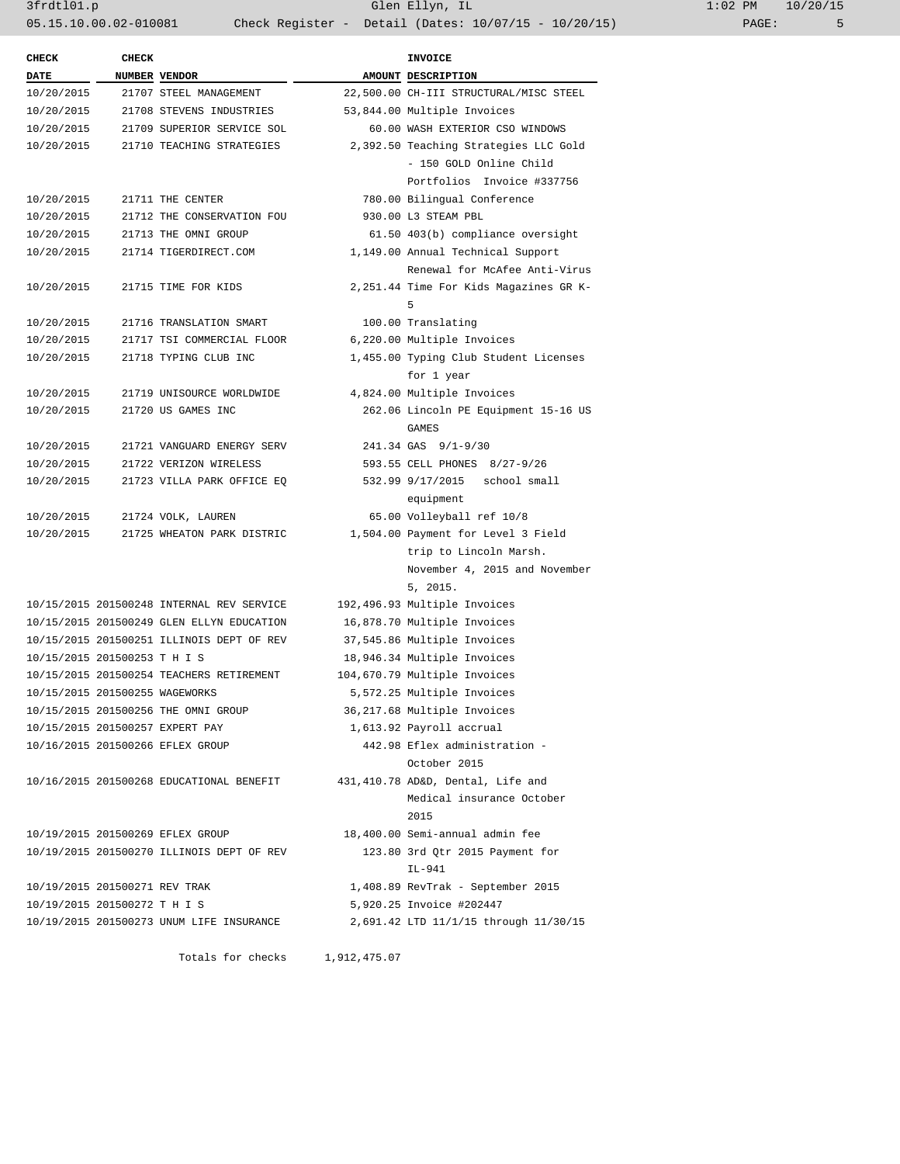3frdtl01.p Glen Ellyn, IL 1:02 PM 10/20/15 05.15.10.00.02-010081 Check Register - Detail (Dates: 10/07/15 - 10/20/15) PAGE: 5

|                                | <b>CHECK</b> |                                           | <b>INVOICE</b>                         |
|--------------------------------|--------------|-------------------------------------------|----------------------------------------|
| <b>DATE</b>                    |              | NUMBER VENDOR                             | AMOUNT DESCRIPTION                     |
| 10/20/2015                     |              | 21707 STEEL MANAGEMENT                    | 22,500.00 CH-III STRUCTURAL/MISC STEEL |
| 10/20/2015                     |              | 21708 STEVENS INDUSTRIES                  | 53,844.00 Multiple Invoices            |
| 10/20/2015                     |              | 21709 SUPERIOR SERVICE SOL                | 60.00 WASH EXTERIOR CSO WINDOWS        |
| 10/20/2015                     |              | 21710 TEACHING STRATEGIES                 | 2,392.50 Teaching Strategies LLC Gold  |
|                                |              |                                           | - 150 GOLD Online Child                |
|                                |              |                                           | Portfolios Invoice #337756             |
| 10/20/2015                     |              | 21711 THE CENTER                          | 780.00 Bilingual Conference            |
| 10/20/2015                     |              | 21712 THE CONSERVATION FOU                | 930.00 L3 STEAM PBL                    |
| 10/20/2015                     |              | 21713 THE OMNI GROUP                      | 61.50 403(b) compliance oversight      |
| 10/20/2015                     |              | 21714 TIGERDIRECT.COM                     | 1,149.00 Annual Technical Support      |
|                                |              |                                           | Renewal for McAfee Anti-Virus          |
| 10/20/2015                     |              | 21715 TIME FOR KIDS                       | 2,251.44 Time For Kids Magazines GR K- |
|                                |              |                                           | 5                                      |
| 10/20/2015                     |              | 21716 TRANSLATION SMART                   | 100.00 Translating                     |
| 10/20/2015                     |              | 21717 TSI COMMERCIAL FLOOR                | 6,220.00 Multiple Invoices             |
| 10/20/2015                     |              | 21718 TYPING CLUB INC                     | 1,455.00 Typing Club Student Licenses  |
|                                |              |                                           | for 1 year                             |
| 10/20/2015                     |              | 21719 UNISOURCE WORLDWIDE                 | 4,824.00 Multiple Invoices             |
| 10/20/2015                     |              | 21720 US GAMES INC                        | 262.06 Lincoln PE Equipment 15-16 US   |
|                                |              |                                           | GAMES                                  |
| 10/20/2015                     |              | 21721 VANGUARD ENERGY SERV                | 241.34 GAS 9/1-9/30                    |
| 10/20/2015                     |              | 21722 VERIZON WIRELESS                    | 593.55 CELL PHONES 8/27-9/26           |
| 10/20/2015                     |              | 21723 VILLA PARK OFFICE EQ                | 532.99 9/17/2015<br>school small       |
|                                |              |                                           | equipment                              |
| 10/20/2015                     |              | 21724 VOLK, LAUREN                        | 65.00 Volleyball ref 10/8              |
| 10/20/2015                     |              | 21725 WHEATON PARK DISTRIC                | 1,504.00 Payment for Level 3 Field     |
|                                |              |                                           | trip to Lincoln Marsh.                 |
|                                |              |                                           | November 4, 2015 and November          |
|                                |              |                                           | 5, 2015.                               |
|                                |              |                                           |                                        |
|                                |              | 10/15/2015 201500248 INTERNAL REV SERVICE | 192,496.93 Multiple Invoices           |
|                                |              | 10/15/2015 201500249 GLEN ELLYN EDUCATION | 16,878.70 Multiple Invoices            |
|                                |              | 10/15/2015 201500251 ILLINOIS DEPT OF REV | 37,545.86 Multiple Invoices            |
| 10/15/2015 201500253 T H I S   |              |                                           | 18,946.34 Multiple Invoices            |
|                                |              | 10/15/2015 201500254 TEACHERS RETIREMENT  | 104,670.79 Multiple Invoices           |
| 10/15/2015 201500255 WAGEWORKS |              |                                           | 5,572.25 Multiple Invoices             |
|                                |              | 10/15/2015 201500256 THE OMNI GROUP       | 36,217.68 Multiple Invoices            |
|                                |              | 10/15/2015 201500257 EXPERT PAY           | 1,613.92 Payroll accrual               |
|                                |              | 10/16/2015 201500266 EFLEX GROUP          | 442.98 Eflex administration -          |
|                                |              |                                           | October 2015                           |
|                                |              | 10/16/2015 201500268 EDUCATIONAL BENEFIT  | 431,410.78 AD&D, Dental, Life and      |
|                                |              |                                           | Medical insurance October              |
|                                |              |                                           | 2015                                   |
|                                |              | 10/19/2015 201500269 EFLEX GROUP          | 18,400.00 Semi-annual admin fee        |
|                                |              | 10/19/2015 201500270 ILLINOIS DEPT OF REV | 123.80 3rd Qtr 2015 Payment for        |
|                                |              |                                           | IL-941                                 |
| 10/19/2015 201500271 REV TRAK  |              |                                           | 1,408.89 RevTrak - September 2015      |
| 10/19/2015 201500272 T H I S   |              |                                           | 5,920.25 Invoice #202447               |
|                                |              | 10/19/2015 201500273 UNUM LIFE INSURANCE  | 2,691.42 LTD 11/1/15 through 11/30/15  |
|                                |              |                                           |                                        |